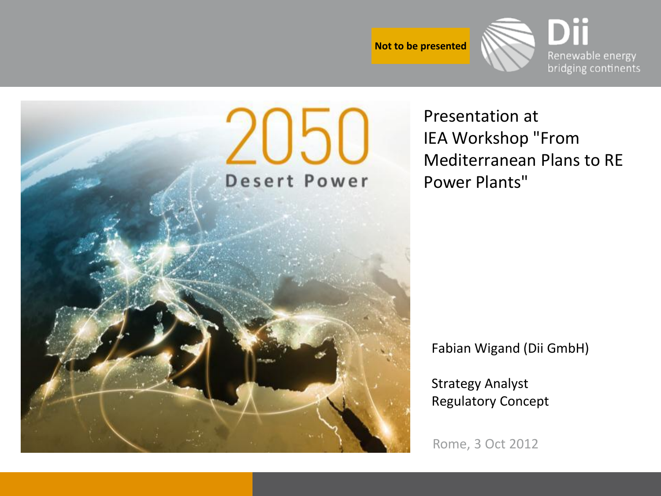



Presentation at IEA Workshop "From Mediterranean Plans to RE Power Plants"

Fabian Wigand (Dii GmbH)

Strategy Analyst Regulatory Concept

Rome, 3 Oct 2012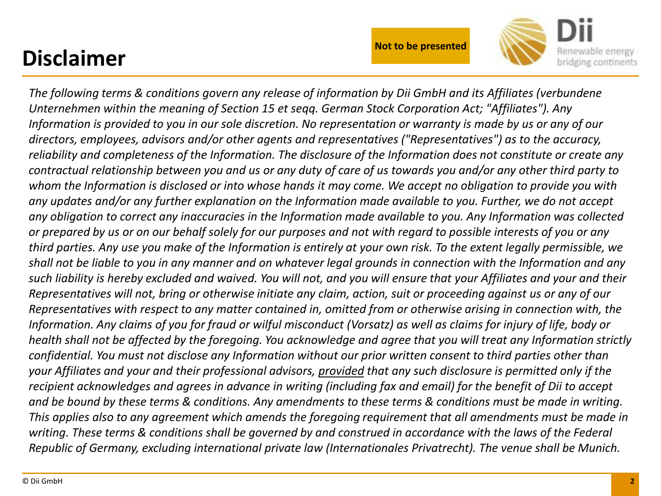#### **Disclaimer**



*The following terms & conditions govern any release of information by Dii GmbH and its Affiliates (verbundene Unternehmen within the meaning of Section 15 et seqq. German Stock Corporation Act; "Affiliates"). Any Information is provided to you in our sole discretion. No representation or warranty is made by us or any of our directors, employees, advisors and/or other agents and representatives ("Representatives") as to the accuracy, reliability and completeness of the Information. The disclosure of the Information does not constitute or create any contractual relationship between you and us or any duty of care of us towards you and/or any other third party to whom the Information is disclosed or into whose hands it may come. We accept no obligation to provide you with any updates and/or any further explanation on the Information made available to you. Further, we do not accept any obligation to correct any inaccuracies in the Information made available to you. Any Information was collected or prepared by us or on our behalf solely for our purposes and not with regard to possible interests of you or any third parties. Any use you make of the Information is entirely at your own risk. To the extent legally permissible, we shall not be liable to you in any manner and on whatever legal grounds in connection with the Information and any such liability is hereby excluded and waived. You will not, and you will ensure that your Affiliates and your and their Representatives will not, bring or otherwise initiate any claim, action, suit or proceeding against us or any of our Representatives with respect to any matter contained in, omitted from or otherwise arising in connection with, the Information. Any claims of you for fraud or wilful misconduct (Vorsatz) as well as claims for injury of life, body or health shall not be affected by the foregoing. You acknowledge and agree that you will treat any Information strictly confidential. You must not disclose any Information without our prior written consent to third parties other than your Affiliates and your and their professional advisors, provided that any such disclosure is permitted only if the recipient acknowledges and agrees in advance in writing (including fax and email) for the benefit of Dii to accept and be bound by these terms & conditions. Any amendments to these terms & conditions must be made in writing. This applies also to any agreement which amends the foregoing requirement that all amendments must be made in writing. These terms & conditions shall be governed by and construed in accordance with the laws of the Federal Republic of Germany, excluding international private law (Internationales Privatrecht). The venue shall be Munich.*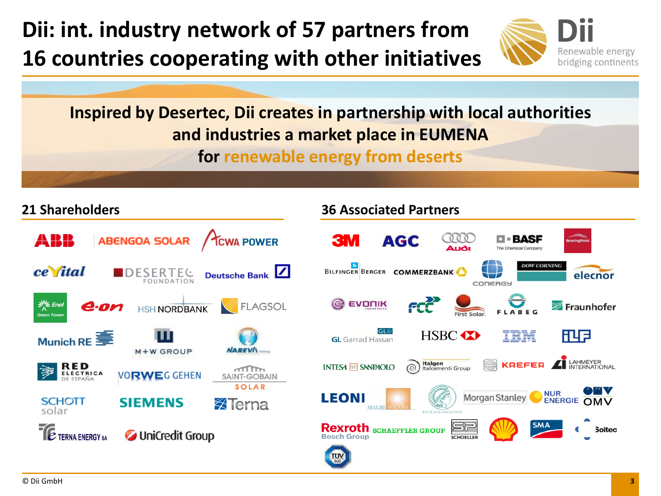**Dii: int. industry network of 57 partners from 16 countries cooperating with other initiatives**



**Inspired by Desertec, Dii creates in partnership with local authorities and industries a market place in EUMENA** 

**for renewable energy from deserts**

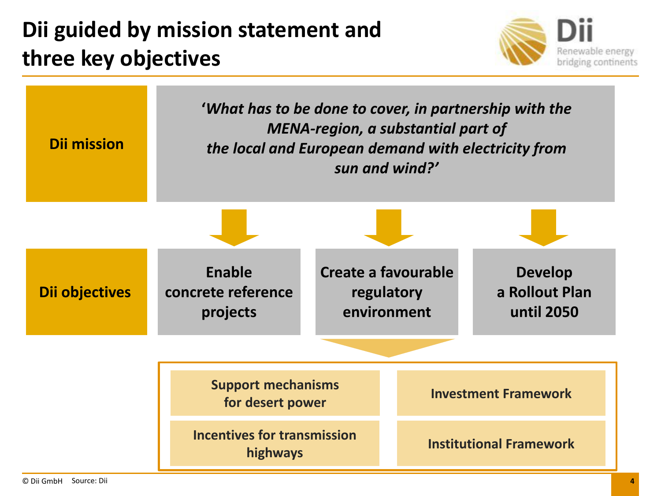#### **Dii guided by mission statement and three key objectives**



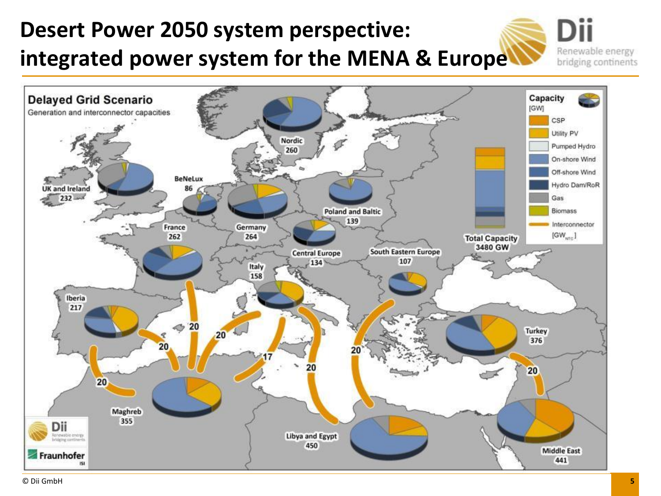## **Desert Power 2050 system perspective: integrated power system for the MENA & Europe**

Renewable energy bridging continents

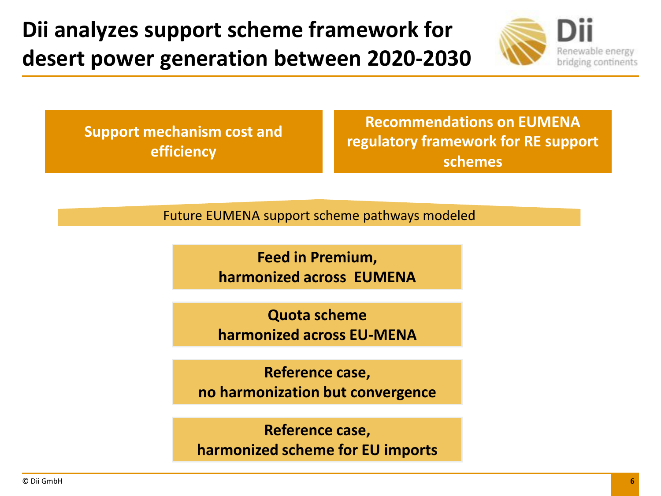**Dii analyzes support scheme framework for desert power generation between 2020-2030** 



**Support mechanism cost and efficiency**

**Recommendations on EUMENA regulatory framework for RE support schemes**

Future EUMENA support scheme pathways modeled

**Feed in Premium, harmonized across EUMENA** 

**Quota scheme harmonized across EU-MENA** 

**Reference case, no harmonization but convergence**

**Reference case, harmonized scheme for EU imports**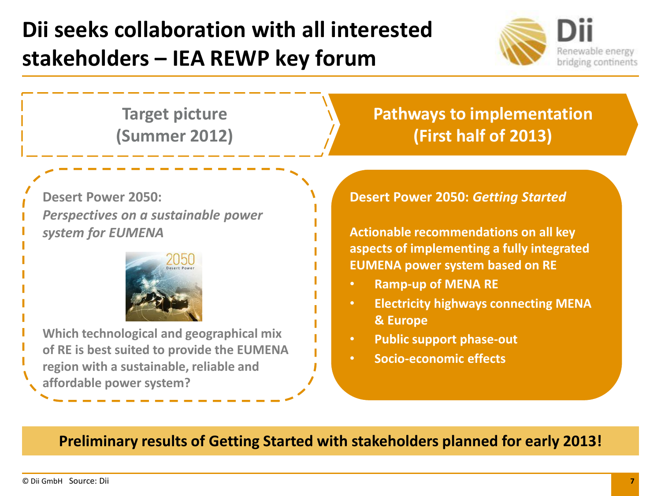### **Dii seeks collaboration with all interested stakeholders – IEA REWP key forum**



**Target picture (Summer 2012)** **Pathways to implementation (First half of 2013)**

**Desert Power 2050:**  *Perspectives on a sustainable power system for EUMENA*



**Which technological and geographical mix of RE is best suited to provide the EUMENA region with a sustainable, reliable and affordable power system?**

#### **Desert Power 2050:** *Getting Started*

**Actionable recommendations on all key aspects of implementing a fully integrated EUMENA power system based on RE**

- **Ramp-up of MENA RE**
- **Electricity highways connecting MENA & Europe**
- **Public support phase-out**
- **Socio-economic effects**

**Preliminary results of Getting Started with stakeholders planned for early 2013!**